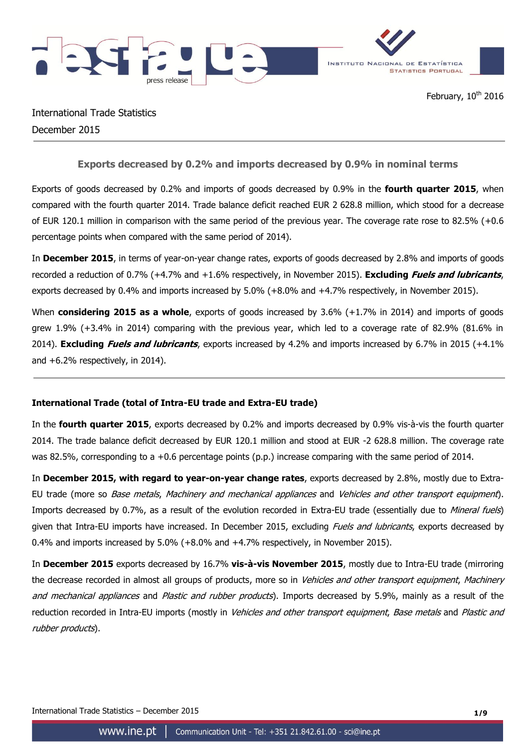



International Trade Statistics December 2015

# **Exports decreased by 0.2% and imports decreased by 0.9% in nominal terms**

Exports of goods decreased by 0.2% and imports of goods decreased by 0.9% in the **fourth quarter 2015**, when compared with the fourth quarter 2014. Trade balance deficit reached EUR 2 628.8 million, which stood for a decrease of EUR 120.1 million in comparison with the same period of the previous year. The coverage rate rose to 82.5% (+0.6 percentage points when compared with the same period of 2014).

In **December 2015**, in terms of year-on-year change rates, exports of goods decreased by 2.8% and imports of goods recorded a reduction of 0.7% (+4.7% and +1.6% respectively, in November 2015). **Excluding Fuels and lubricants**, exports decreased by 0.4% and imports increased by 5.0% (+8.0% and +4.7% respectively, in November 2015).

When **considering 2015 as a whole**, exports of goods increased by 3.6% (+1.7% in 2014) and imports of goods grew 1.9% (+3.4% in 2014) comparing with the previous year, which led to a coverage rate of 82.9% (81.6% in 2014). **Excluding Fuels and lubricants**, exports increased by 4.2% and imports increased by 6.7% in 2015 (+4.1% and +6.2% respectively, in 2014).

## **International Trade (total of Intra-EU trade and Extra-EU trade)**

In the **fourth quarter 2015**, exports decreased by 0.2% and imports decreased by 0.9% vis-à-vis the fourth quarter 2014. The trade balance deficit decreased by EUR 120.1 million and stood at EUR -2 628.8 million. The coverage rate was 82.5%, corresponding to a +0.6 percentage points (p.p.) increase comparing with the same period of 2014.

In **December 2015, with regard to year-on-year change rates**, exports decreased by 2.8%, mostly due to Extra-EU trade (more so Base metals, Machinery and mechanical appliances and Vehicles and other transport equipment). Imports decreased by 0.7%, as a result of the evolution recorded in Extra-EU trade (essentially due to Mineral fuels) given that Intra-EU imports have increased. In December 2015, excluding Fuels and lubricants, exports decreased by 0.4% and imports increased by 5.0% (+8.0% and +4.7% respectively, in November 2015).

In **December 2015** exports decreased by 16.7% **vis-à-vis November 2015**, mostly due to Intra-EU trade (mirroring the decrease recorded in almost all groups of products, more so in Vehicles and other transport equipment, Machinery and mechanical appliances and Plastic and rubber products). Imports decreased by 5.9%, mainly as a result of the reduction recorded in Intra-EU imports (mostly in Vehicles and other transport equipment, Base metals and Plastic and rubber products).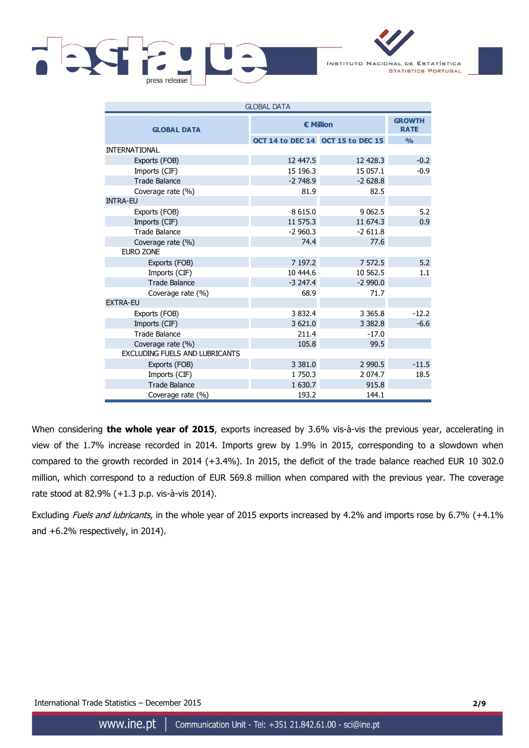

INSTITUTO NACIONAL DE ESTATÍSTICA **STATISTICS PORTUGAL** 

| <b>GLOBAL DATA</b>                    |                  |                                   |               |  |  |  |
|---------------------------------------|------------------|-----------------------------------|---------------|--|--|--|
| <b>GLOBAL DATA</b>                    | <b>€ Million</b> | <b>GROWTH</b><br><b>RATE</b>      |               |  |  |  |
|                                       |                  | OCT 14 to DEC 14 OCT 15 to DEC 15 | $\frac{0}{0}$ |  |  |  |
| <b>INTERNATIONAL</b>                  |                  |                                   |               |  |  |  |
| Exports (FOB)                         | 12 447.5         | 12 428.3                          | $-0.2$        |  |  |  |
| Imports (CIF)                         | 15 196.3         | 15 057.1                          | $-0.9$        |  |  |  |
| <b>Trade Balance</b>                  | $-2748.9$        | $-2628.8$                         |               |  |  |  |
| Coverage rate (%)                     | 81.9             | 82.5                              |               |  |  |  |
| <b>INTRA-EU</b>                       |                  |                                   |               |  |  |  |
| Exports (FOB)                         | 8 615.0          | 9 0 6 2.5                         | 5.2           |  |  |  |
| Imports (CIF)                         | 11 575.3         | 11 674.3                          | 0.9           |  |  |  |
| <b>Trade Balance</b>                  | $-2960.3$        | $-2611.8$                         |               |  |  |  |
| Coverage rate (%)                     | 74.4             | 77.6                              |               |  |  |  |
| <b>EURO ZONE</b>                      |                  |                                   |               |  |  |  |
| Exports (FOB)                         | 7 197.2          | 7 572.5                           | 5.2           |  |  |  |
| Imports (CIF)                         | 10 444.6         | 10 562.5                          | 1.1           |  |  |  |
| <b>Trade Balance</b>                  | $-3247.4$        | $-2990.0$                         |               |  |  |  |
| Coverage rate (%)                     | 68.9             | 71.7                              |               |  |  |  |
| <b>EXTRA-EU</b>                       |                  |                                   |               |  |  |  |
| Exports (FOB)                         | 3 8 3 2.4        | 3 3 6 5 . 8                       | $-12.2$       |  |  |  |
| Imports (CIF)                         | 3 621.0          | 3 3 8 2.8                         | $-6.6$        |  |  |  |
| <b>Trade Balance</b>                  | 211.4            | $-17.0$                           |               |  |  |  |
| Coverage rate (%)                     | 105.8            | 99.5                              |               |  |  |  |
| <b>EXCLUDING FUELS AND LUBRICANTS</b> |                  |                                   |               |  |  |  |
| Exports (FOB)                         | 3 3 8 1 . 0      | 2 9 9 0.5                         | $-11.5$       |  |  |  |
| Imports (CIF)                         | 1 750.3          | 2 074.7                           | 18.5          |  |  |  |
| <b>Trade Balance</b>                  | 1 630.7          | 915.8                             |               |  |  |  |
| Coverage rate (%)                     | 193.2            | 144.1                             |               |  |  |  |

When considering **the whole year of 2015**, exports increased by 3.6% vis-à-vis the previous year, accelerating in view of the 1.7% increase recorded in 2014. Imports grew by 1.9% in 2015, corresponding to a slowdown when compared to the growth recorded in 2014 (+3.4%). In 2015, the deficit of the trade balance reached EUR 10 302.0 million, which correspond to a reduction of EUR 569.8 million when compared with the previous year. The coverage rate stood at 82.9% (+1.3 p.p. vis-à-vis 2014).

Excluding Fuels and lubricants, in the whole year of 2015 exports increased by 4.2% and imports rose by 6.7% (+4.1% and +6.2% respectively, in 2014).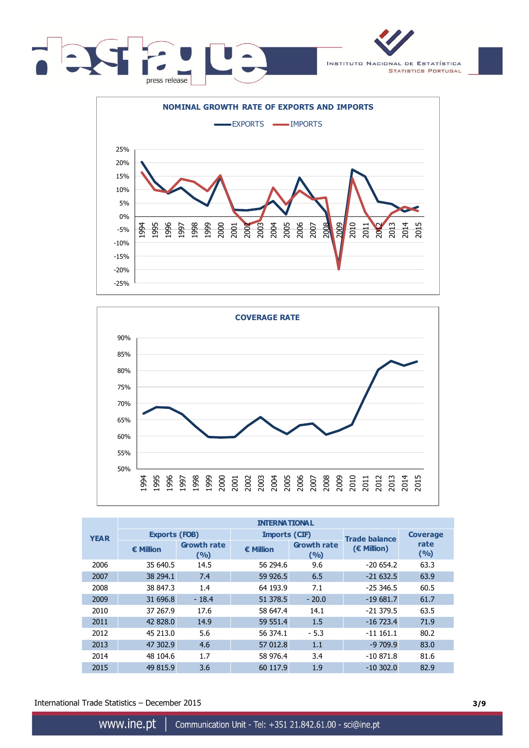



INSTITUTO NACIONAL DE ESTATÍSTICA

**STATISTICS PORTUGAL** 



|             | <b>INTERNATIONAL</b> |                             |                      |                             |                      |                 |  |  |  |  |  |
|-------------|----------------------|-----------------------------|----------------------|-----------------------------|----------------------|-----------------|--|--|--|--|--|
| <b>YEAR</b> | <b>Exports (FOB)</b> |                             | <b>Imports (CIF)</b> |                             | <b>Trade balance</b> | <b>Coverage</b> |  |  |  |  |  |
|             | $\epsilon$ Million   | <b>Growth rate</b><br>(9/6) | $\epsilon$ Million   | <b>Growth rate</b><br>(9/6) | (€ Million)          | rate<br>(9/6)   |  |  |  |  |  |
| 2006        | 35 640.5             | 14.5                        | 56 294.6             | 9.6                         | $-20654.2$           | 63.3            |  |  |  |  |  |
| 2007        | 38 294.1             | 7.4                         | 59 926.5             | 6.5                         | $-21632.5$           | 63.9            |  |  |  |  |  |
| 2008        | 38 847.3             | 1.4                         | 64 193.9             | 7.1                         | $-25346.5$           | 60.5            |  |  |  |  |  |
| 2009        | 31 696.8             | $-18.4$                     | 51 378.5             | $-20.0$                     | $-19681.7$           | 61.7            |  |  |  |  |  |
| 2010        | 37 267.9             | 17.6                        | 58 647.4             | 14.1                        | $-21379.5$           | 63.5            |  |  |  |  |  |
| 2011        | 42 828.0             | 14.9                        | 59 551.4             | 1.5                         | $-16$ 723.4          | 71.9            |  |  |  |  |  |
| 2012        | 45 213.0             | 5.6                         | 56 374.1             | $-5.3$                      | $-11$ 161.1          | 80.2            |  |  |  |  |  |
| 2013        | 47 302.9             | 4.6                         | 57 012.8             | 1.1                         | $-9709.9$            | 83.0            |  |  |  |  |  |
| 2014        | 48 104.6             | 1.7                         | 58 976.4             | 3.4                         | $-10871.8$           | 81.6            |  |  |  |  |  |
| 2015        | 49 815.9             | 3.6                         | 60 117.9             | 1.9                         | $-10,302.0$          | 82.9            |  |  |  |  |  |

International Trade Statistics – December 2015 **3/9**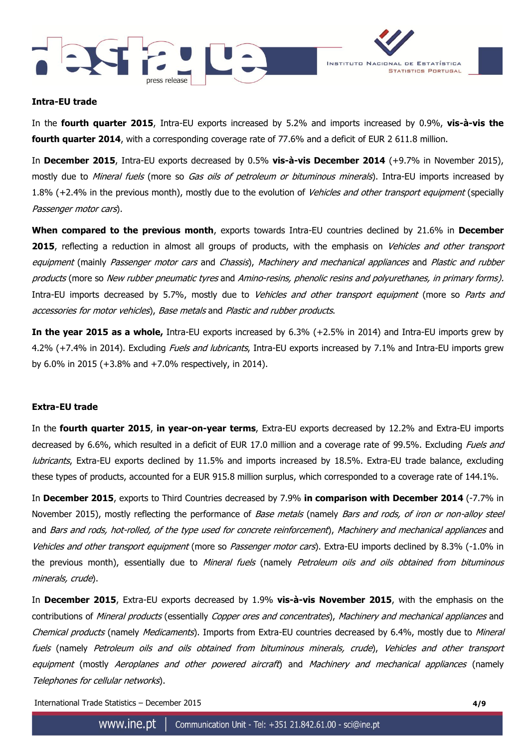



### **Intra-EU trade**

In the **fourth quarter 2015**, Intra-EU exports increased by 5.2% and imports increased by 0.9%, **vis-à-vis the fourth quarter 2014**, with a corresponding coverage rate of 77.6% and a deficit of EUR 2 611.8 million.

In **December 2015**, Intra-EU exports decreased by 0.5% **vis-à-vis December 2014** (+9.7% in November 2015), mostly due to *Mineral fuels* (more so *Gas oils of petroleum or bituminous minerals*). Intra-EU imports increased by 1.8% (+2.4% in the previous month), mostly due to the evolution of *Vehicles and other transport equipment* (specially Passenger motor cars).

**When compared to the previous month**, exports towards Intra-EU countries declined by 21.6% in **December 2015**, reflecting a reduction in almost all groups of products, with the emphasis on *Vehicles and other transport* equipment (mainly Passenger motor cars and Chassis), Machinery and mechanical appliances and Plastic and rubber products (more so New rubber pneumatic tyres and Amino-resins, phenolic resins and polyurethanes, in primary forms). Intra-EU imports decreased by 5.7%, mostly due to Vehicles and other transport equipment (more so Parts and accessories for motor vehicles), Base metals and Plastic and rubber products.

**In the year 2015 as a whole,** Intra-EU exports increased by 6.3% (+2.5% in 2014) and Intra-EU imports grew by 4.2% (+7.4% in 2014). Excluding *Fuels and lubricants*, Intra-EU exports increased by 7.1% and Intra-EU imports grew by 6.0% in 2015 (+3.8% and +7.0% respectively, in 2014).

### **Extra-EU trade**

In the **fourth quarter 2015**, **in year-on-year terms**, Extra-EU exports decreased by 12.2% and Extra-EU imports decreased by 6.6%, which resulted in a deficit of EUR 17.0 million and a coverage rate of 99.5%. Excluding *Fuels and* lubricants, Extra-EU exports declined by 11.5% and imports increased by 18.5%. Extra-EU trade balance, excluding these types of products, accounted for a EUR 915.8 million surplus, which corresponded to a coverage rate of 144.1%.

In **December 2015**, exports to Third Countries decreased by 7.9% **in comparison with December 2014** (-7.7% in November 2015), mostly reflecting the performance of Base metals (namely Bars and rods, of iron or non-alloy steel and Bars and rods, hot-rolled, of the type used for concrete reinforcement), Machinery and mechanical appliances and Vehicles and other transport equipment (more so Passenger motor cars). Extra-EU imports declined by 8.3% (-1.0% in the previous month), essentially due to *Mineral fuels* (namely *Petroleum oils and oils obtained from bituminous* minerals, crude).

In **December 2015**, Extra-EU exports decreased by 1.9% **vis-à-vis November 2015**, with the emphasis on the contributions of Mineral products (essentially Copper ores and concentrates), Machinery and mechanical appliances and Chemical products (namely Medicaments). Imports from Extra-EU countries decreased by 6.4%, mostly due to Mineral fuels (namely Petroleum oils and oils obtained from bituminous minerals, crude), Vehicles and other transport equipment (mostly Aeroplanes and other powered aircraft) and Machinery and mechanical appliances (namely Telephones for cellular networks).

International Trade Statistics – December 2015 **4/9**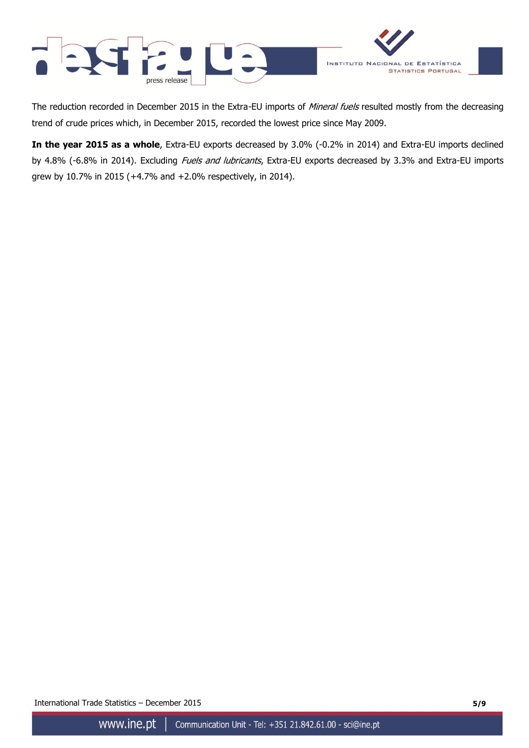

The reduction recorded in December 2015 in the Extra-EU imports of *Mineral fuels* resulted mostly from the decreasing trend of crude prices which, in December 2015, recorded the lowest price since May 2009.

**In the year 2015 as a whole**, Extra-EU exports decreased by 3.0% (-0.2% in 2014) and Extra-EU imports declined by 4.8% (-6.8% in 2014). Excluding Fuels and lubricants, Extra-EU exports decreased by 3.3% and Extra-EU imports grew by 10.7% in 2015 (+4.7% and +2.0% respectively, in 2014).

International Trade Statistics – December 2015 **5/9**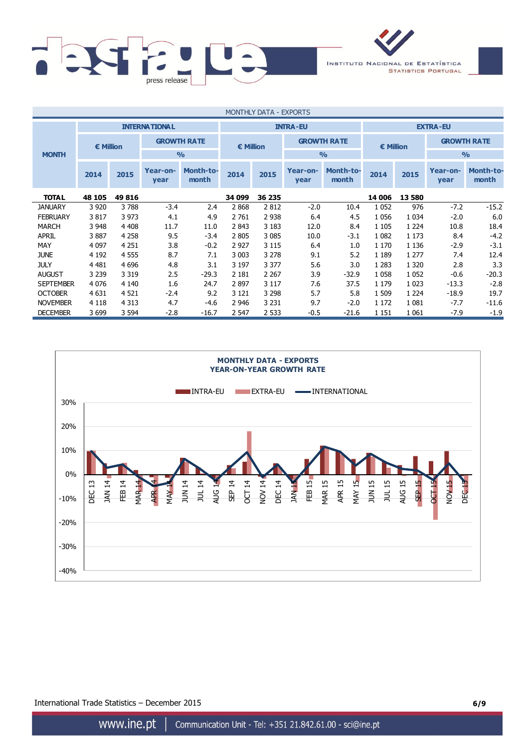

| <b>MONTHLY DATA - EXPORTS</b> |                  |         |                  |                           |                 |                    |                  |                           |         |           |                  |                           |  |
|-------------------------------|------------------|---------|------------------|---------------------------|-----------------|--------------------|------------------|---------------------------|---------|-----------|------------------|---------------------------|--|
| <b>INTERNATIONAL</b>          |                  |         |                  |                           | <b>INTRA-EU</b> |                    | <b>EXTRA-EU</b>  |                           |         |           |                  |                           |  |
|                               | <b>€ Million</b> |         |                  | <b>GROWTH RATE</b>        |                 | $\epsilon$ Million |                  | <b>GROWTH RATE</b>        |         | € Million |                  | <b>GROWTH RATE</b>        |  |
| <b>MONTH</b>                  |                  |         |                  | $\frac{0}{0}$             |                 |                    | $\frac{0}{0}$    |                           |         |           | $\frac{9}{0}$    |                           |  |
|                               | 2014             | 2015    | Year-on-<br>year | <b>Month-to-</b><br>month | 2014            | 2015               | Year-on-<br>year | <b>Month-to-</b><br>month | 2014    | 2015      | Year-on-<br>year | <b>Month-to-</b><br>month |  |
| <b>TOTAL</b>                  | 48 105           | 49816   |                  |                           | 34 099          | 36 235             |                  |                           | 14 006  | 13 580    |                  |                           |  |
| <b>JANUARY</b>                | 3 9 20           | 3788    | $-3.4$           | 2.4                       | 2868            | 2812               | $-2.0$           | 10.4                      | 1 0 5 2 | 976       | $-7.2$           | $-15.2$                   |  |
| <b>FEBRUARY</b>               | 3817             | 3 9 7 3 | 4.1              | 4.9                       | 2761            | 2 9 3 8            | 6.4              | 4.5                       | 1 0 5 6 | 1 0 3 4   | $-2.0$           | 6.0                       |  |
| <b>MARCH</b>                  | 3 9 4 8          | 4 4 0 8 | 11.7             | 11.0                      | 2843            | 3 1 8 3            | 12.0             | 8.4                       | 1 1 0 5 | 1 2 2 4   | 10.8             | 18.4                      |  |
| <b>APRIL</b>                  | 3887             | 4 2 5 8 | 9.5              | $-3.4$                    | 2805            | 3 0 8 5            | 10.0             | $-3.1$                    | 1 0 8 2 | 1 1 7 3   | 8.4              | $-4.2$                    |  |
| MAY                           | 4 0 9 7          | 4 2 5 1 | 3.8              | $-0.2$                    | 2 9 2 7         | 3 1 1 5            | 6.4              | 1.0                       | 1 1 7 0 | 1 1 3 6   | $-2.9$           | $-3.1$                    |  |
| <b>JUNE</b>                   | 4 1 9 2          | 4 5 5 5 | 8.7              | 7.1                       | 3 0 0 3         | 3 2 7 8            | 9.1              | 5.2                       | 1 1 8 9 | 1 2 7 7   | 7.4              | 12.4                      |  |
| <b>JULY</b>                   | 4 4 8 1          | 4 6 9 6 | 4.8              | 3.1                       | 3 1 9 7         | 3 3 7 7            | 5.6              | 3.0                       | 1 2 8 3 | 1 3 2 0   | 2.8              | 3.3                       |  |
| <b>AUGUST</b>                 | 3 2 3 9          | 3 3 1 9 | 2.5              | $-29.3$                   | 2 1 8 1         | 2 2 6 7            | 3.9              | -32.9                     | 1 0 5 8 | 1 0 5 2   | $-0.6$           | $-20.3$                   |  |
| <b>SEPTEMBER</b>              | 4076             | 4 1 4 0 | 1.6              | 24.7                      | 2897            | 3 1 1 7            | 7.6              | 37.5                      | 1 1 7 9 | 1 0 2 3   | $-13.3$          | $-2.8$                    |  |
| <b>OCTOBER</b>                | 4 6 31           | 4 5 21  | $-2.4$           | 9.2                       | 3 1 2 1         | 3 2 9 8            | 5.7              | 5.8                       | 1 509   | 1 2 2 4   | $-18.9$          | 19.7                      |  |
| <b>NOVEMBER</b>               | 4 1 1 8          | 4 3 1 3 | 4.7              | $-4.6$                    | 2 9 4 6         | 3 2 3 1            | 9.7              | $-2.0$                    | 1 1 7 2 | 1 0 8 1   | $-7.7$           | $-11.6$                   |  |
| <b>DECEMBER</b>               | 3699             | 3 5 9 4 | $-2.8$           | $-16.7$                   | 2 5 4 7         | 2 5 3 3            | $-0.5$           | $-21.6$                   | 1 1 5 1 | 1 0 6 1   | $-7.9$           | $-1.9$                    |  |



International Trade Statistics – December 2015 **6/9**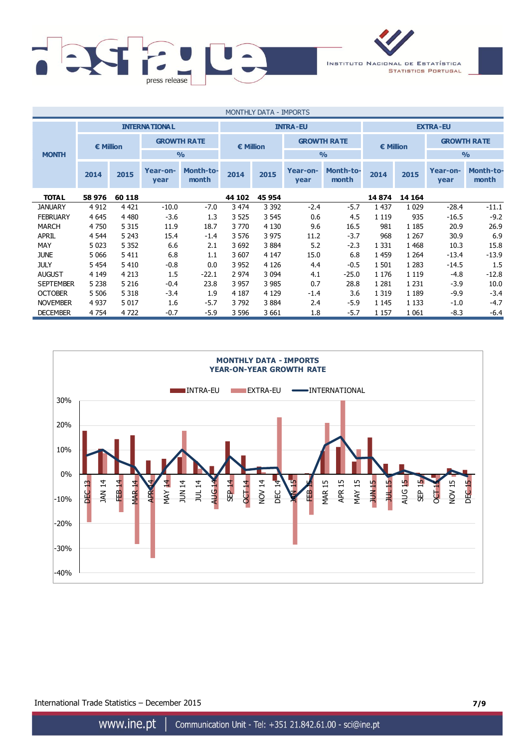

| MONTHLY DATA - IMPORTS |                      |         |                    |                    |                  |         |                    |                           |                    |         |                    |                           |
|------------------------|----------------------|---------|--------------------|--------------------|------------------|---------|--------------------|---------------------------|--------------------|---------|--------------------|---------------------------|
|                        | <b>INTERNATIONAL</b> |         |                    |                    |                  |         | <b>INTRA-EU</b>    |                           | <b>EXTRA-EU</b>    |         |                    |                           |
|                        | $\epsilon$ Million   |         | <b>GROWTH RATE</b> |                    | <b>€ Million</b> |         | <b>GROWTH RATE</b> |                           | $\epsilon$ Million |         | <b>GROWTH RATE</b> |                           |
| <b>MONTH</b>           |                      |         |                    | $\frac{1}{2}$      |                  |         | $\frac{0}{0}$      |                           |                    |         | $\frac{9}{6}$      |                           |
|                        | 2014                 | 2015    | Year-on-<br>year   | Month-to-<br>month | 2014             | 2015    | Year-on-<br>year   | <b>Month-to-</b><br>month | 2014               | 2015    | Year-on-<br>year   | <b>Month-to-</b><br>month |
| <b>TOTAL</b>           | 58 976               | 60 118  |                    |                    | 44 102           | 45 954  |                    |                           | 14874              | 14 164  |                    |                           |
| <b>JANUARY</b>         | 4 9 1 2              | 4 4 2 1 | $-10.0$            | $-7.0$             | 3 4 7 4          | 3 3 9 2 | $-2.4$             | $-5.7$                    | 1 4 3 7            | 1 0 2 9 | $-28.4$            | -11.1                     |
| <b>FEBRUARY</b>        | 4 6 4 5              | 4 4 8 0 | $-3.6$             | 1.3                | 3 5 2 5          | 3 5 4 5 | 0.6                | 4.5                       | 1 1 1 9            | 935     | $-16.5$            | $-9.2$                    |
| <b>MARCH</b>           | 4 7 5 0              | 5 3 1 5 | 11.9               | 18.7               | 3770             | 4 1 3 0 | 9.6                | 16.5                      | 981                | 1 1 8 5 | 20.9               | 26.9                      |
| APRIL                  | 4 5 4 4              | 5 2 4 3 | 15.4               | $-1.4$             | 3 5 7 6          | 3 9 7 5 | 11.2               | $-3.7$                    | 968                | 1 2 6 7 | 30.9               | 6.9                       |
| MAY                    | 5 0 2 3              | 5 3 5 2 | 6.6                | 2.1                | 3692             | 3 8 8 4 | 5.2                | $-2.3$                    | 1 3 3 1            | 1 4 6 8 | 10.3               | 15.8                      |
| <b>JUNE</b>            | 5 0 6 6              | 5 4 1 1 | 6.8                | 1.1                | 3 607            | 4 1 4 7 | 15.0               | 6.8                       | 1 4 5 9            | 1 2 6 4 | $-13.4$            | $-13.9$                   |
| <b>JULY</b>            | 5 4 5 4              | 5410    | $-0.8$             | 0.0                | 3 9 5 2          | 4 1 2 6 | 4.4                | $-0.5$                    | 1 501              | 1 2 8 3 | $-14.5$            | 1.5                       |
| <b>AUGUST</b>          | 4 1 4 9              | 4 2 1 3 | 1.5                | -22.1              | 2 9 7 4          | 3 0 9 4 | 4.1                | $-25.0$                   | 1 1 7 6            | 1 1 1 9 | $-4.8$             | $-12.8$                   |
| <b>SEPTEMBER</b>       | 5 2 3 8              | 5 2 1 6 | $-0.4$             | 23.8               | 3 9 5 7          | 3 9 8 5 | 0.7                | 28.8                      | 1 2 8 1            | 1 2 3 1 | $-3.9$             | 10.0                      |
| <b>OCTOBER</b>         | 5 5 0 6              | 5 3 1 8 | $-3.4$             | 1.9                | 4 1 8 7          | 4 1 2 9 | $-1.4$             | 3.6                       | 1 3 1 9            | 1 1 8 9 | $-9.9$             | $-3.4$                    |
| <b>NOVEMBER</b>        | 4 9 3 7              | 5 0 1 7 | 1.6                | $-5.7$             | 3792             | 3884    | 2.4                | $-5.9$                    | 1 1 4 5            | 1 1 3 3 | $-1.0$             | $-4.7$                    |
| <b>DECEMBER</b>        | 4 7 5 4              | 4722    | $-0.7$             | $-5.9$             | 3 5 9 6          | 3 6 6 1 | 1.8                | $-5.7$                    | 1 1 5 7            | 1 0 6 1 | $-8.3$             | $-6.4$                    |



International Trade Statistics – December 2015 **7/9**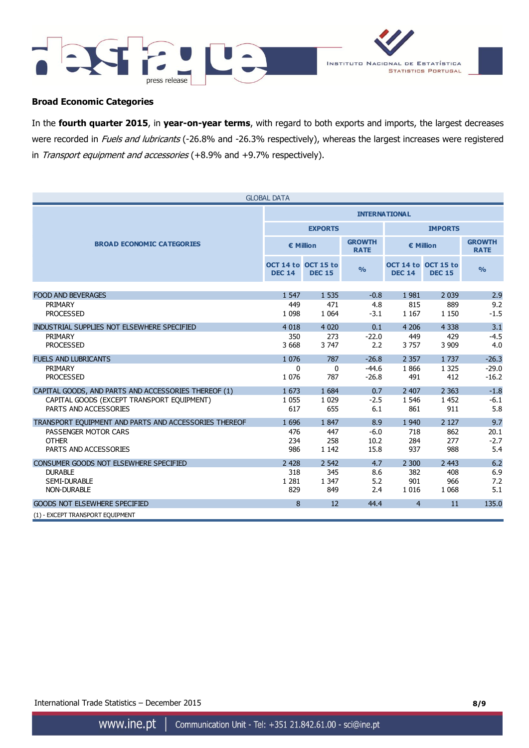



## **Broad Economic Categories**

In the **fourth quarter 2015**, in **year-on-year terms**, with regard to both exports and imports, the largest decreases were recorded in Fuels and lubricants (-26.8% and -26.3% respectively), whereas the largest increases were registered in Transport equipment and accessories (+8.9% and +9.7% respectively).

|                                                       | <b>GLOBAL DATA</b>                   |                |                              |                |                                      |                              |  |  |
|-------------------------------------------------------|--------------------------------------|----------------|------------------------------|----------------|--------------------------------------|------------------------------|--|--|
|                                                       | <b>INTERNATIONAL</b>                 |                |                              |                |                                      |                              |  |  |
|                                                       |                                      | <b>EXPORTS</b> |                              | <b>IMPORTS</b> |                                      |                              |  |  |
| <b>BROAD ECONOMIC CATEGORIES</b>                      | € Million                            |                | <b>GROWTH</b><br><b>RATE</b> | € Million      |                                      | <b>GROWTH</b><br><b>RATE</b> |  |  |
|                                                       | OCT 14 to OCT 15 to<br><b>DEC 14</b> | <b>DEC 15</b>  | $\frac{9}{6}$                | <b>DEC 14</b>  | OCT 14 to OCT 15 to<br><b>DEC 15</b> | $\frac{9}{0}$                |  |  |
|                                                       |                                      |                |                              |                |                                      |                              |  |  |
| <b>FOOD AND BEVERAGES</b>                             | 1 5 4 7                              | 1 5 3 5        | $-0.8$                       | 1981           | 2 0 3 9                              | 2.9                          |  |  |
| PRIMARY                                               | 449                                  | 471            | 4.8                          | 815            | 889                                  | 9.2                          |  |  |
| <b>PROCESSED</b>                                      | 1 0 9 8                              | 1 0 6 4        | $-3.1$                       | 1 1 6 7        | 1 1 5 0                              | $-1.5$                       |  |  |
| INDUSTRIAL SUPPLIES NOT ELSEWHERE SPECIFIED           | 4 0 18                               | 4 0 2 0        | 0.1                          | 4 2 0 6        | 4 3 3 8                              | 3.1                          |  |  |
| PRIMARY                                               | 350                                  | 273            | $-22.0$                      | 449            | 429                                  | $-4.5$                       |  |  |
| <b>PROCESSED</b>                                      | 3 6 6 8                              | 3747           | 2.2                          | 3757           | 3 9 0 9                              | 4.0                          |  |  |
| <b>FUELS AND LUBRICANTS</b>                           | 1 0 7 6                              | 787            | $-26.8$                      | 2 3 5 7        | 1737                                 | $-26.3$                      |  |  |
| PRIMARY                                               | $\mathbf{0}$                         | $\mathbf{0}$   | $-44.6$                      | 1866           | 1 3 2 5                              | $-29.0$                      |  |  |
| <b>PROCESSED</b>                                      | 1 0 7 6                              | 787            | $-26.8$                      | 491            | 412                                  | $-16.2$                      |  |  |
| CAPITAL GOODS, AND PARTS AND ACCESSORIES THEREOF (1)  | 1673                                 | 1 6 8 4        | 0.7                          | 2 4 0 7        | 2 3 6 3                              | $-1.8$                       |  |  |
| CAPITAL GOODS (EXCEPT TRANSPORT EQUIPMENT)            | 1 0 5 5                              | 1 0 2 9        | $-2.5$                       | 1 5 4 6        | 1452                                 | $-6.1$                       |  |  |
| PARTS AND ACCESSORIES                                 | 617                                  | 655            | 6.1                          | 861            | 911                                  | 5.8                          |  |  |
| TRANSPORT EQUIPMENT AND PARTS AND ACCESSORIES THEREOF | 1696                                 | 1847           | 8.9                          | 1 9 4 0        | 2 1 2 7                              | 9.7                          |  |  |
| PASSENGER MOTOR CARS                                  | 476                                  | 447            | $-6.0$                       | 718            | 862                                  | 20.1                         |  |  |
| <b>OTHER</b>                                          | 234                                  | 258            | 10.2                         | 284            | 277                                  | $-2.7$                       |  |  |
| PARTS AND ACCESSORIES                                 | 986                                  | 1 1 4 2        | 15.8                         | 937            | 988                                  | 5.4                          |  |  |
| CONSUMER GOODS NOT ELSEWHERE SPECIFIED                | 2 4 2 8                              | 2 5 4 2        | 4.7                          | 2 3 0 0        | 2 4 4 3                              | 6.2                          |  |  |
| <b>DURABLE</b>                                        | 318                                  | 345            | 8.6                          | 382            | 408                                  | 6.9                          |  |  |
| <b>SEMI-DURABLE</b>                                   | 1 2 8 1                              | 1 3 4 7        | 5.2                          | 901            | 966                                  | 7.2                          |  |  |
| NON-DURABLE                                           | 829                                  | 849            | 2.4                          | 1016           | 1 0 6 8                              | 5.1                          |  |  |
| <b>GOODS NOT ELSEWHERE SPECIFIED</b>                  | 8                                    | 12             | 44.4                         | $\overline{4}$ | 11                                   | 135.0                        |  |  |
| (1) - EXCEPT TRANSPORT EQUIPMENT                      |                                      |                |                              |                |                                      |                              |  |  |

International Trade Statistics – December 2015 **8/9**